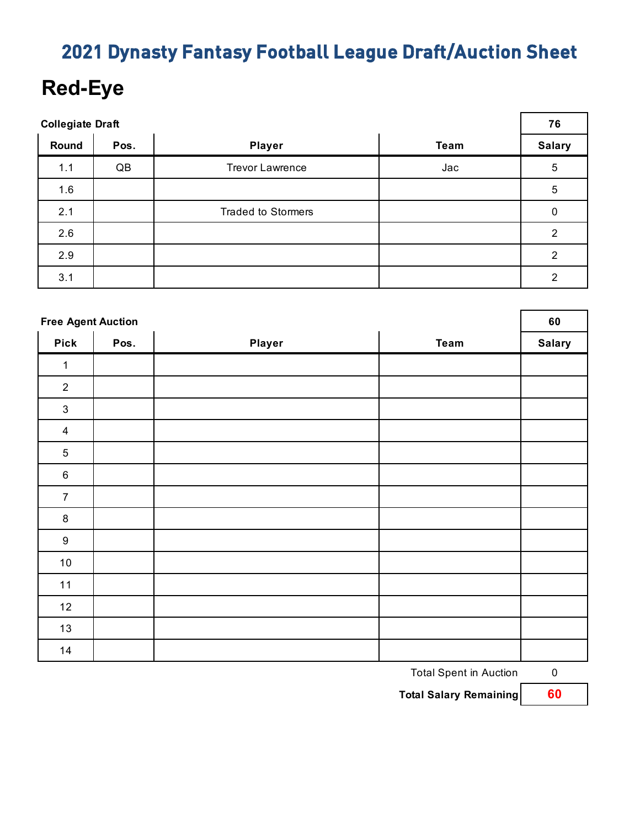## **Red-Eye**

| <b>Collegiate Draft</b> |      |                           |             |                |
|-------------------------|------|---------------------------|-------------|----------------|
| Round                   | Pos. | <b>Player</b>             | <b>Team</b> | <b>Salary</b>  |
| 1.1                     | QB   | <b>Trevor Lawrence</b>    | Jac         | $\overline{5}$ |
| 1.6                     |      |                           |             | $\sqrt{5}$     |
| 2.1                     |      | <b>Traded to Stormers</b> |             | 0              |
| 2.6                     |      |                           |             | $\overline{2}$ |
| 2.9                     |      |                           |             | $\overline{2}$ |
| 3.1                     |      |                           |             | $\overline{2}$ |

|                  | <b>Free Agent Auction</b> |        |      |               |  |
|------------------|---------------------------|--------|------|---------------|--|
| <b>Pick</b>      | Pos.                      | Player | Team | <b>Salary</b> |  |
| 1                |                           |        |      |               |  |
| 2                |                           |        |      |               |  |
| $\sqrt{3}$       |                           |        |      |               |  |
| $\overline{4}$   |                           |        |      |               |  |
| $\sqrt{5}$       |                           |        |      |               |  |
| $\,6\,$          |                           |        |      |               |  |
| $\boldsymbol{7}$ |                           |        |      |               |  |
| $\bf 8$          |                           |        |      |               |  |
| $\boldsymbol{9}$ |                           |        |      |               |  |
| $10\,$           |                           |        |      |               |  |
| 11               |                           |        |      |               |  |
| $12$             |                           |        |      |               |  |
| 13               |                           |        |      |               |  |
| 14               |                           |        |      |               |  |

Total Spent in Auction 0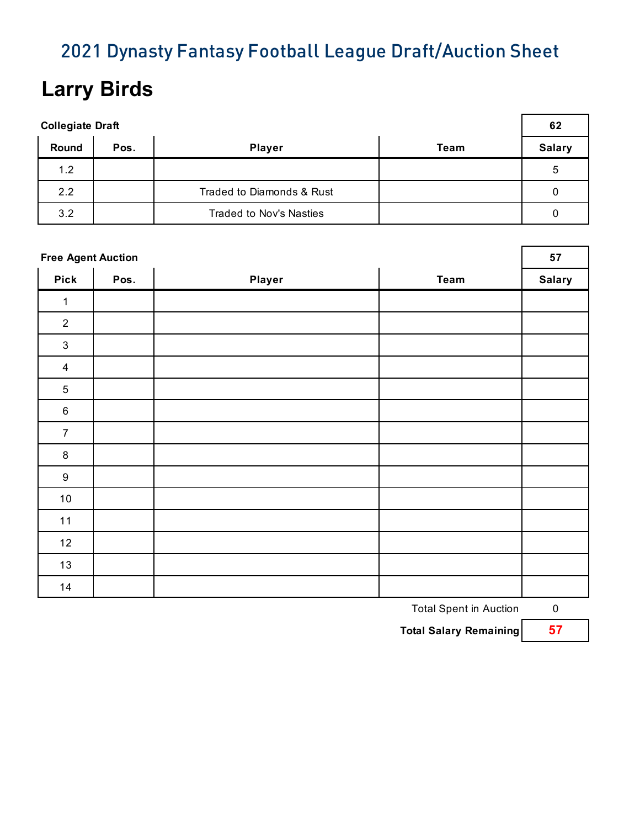## **Larry Birds**

| <b>Collegiate Draft</b> |      |                           |      |               |
|-------------------------|------|---------------------------|------|---------------|
| <b>Round</b>            | Pos. | <b>Player</b>             | Team | <b>Salary</b> |
| 1.2                     |      |                           |      | 5             |
| 2.2                     |      | Traded to Diamonds & Rust |      |               |
| 3.2                     |      | Traded to Nov's Nasties   |      |               |

|                  | <b>Free Agent Auction</b> |               |             |               |  |
|------------------|---------------------------|---------------|-------------|---------------|--|
| <b>Pick</b>      | Pos.                      | <b>Player</b> | <b>Team</b> | <b>Salary</b> |  |
| $\mathbf{1}$     |                           |               |             |               |  |
| $\overline{2}$   |                           |               |             |               |  |
| $\mathbf{3}$     |                           |               |             |               |  |
| $\overline{4}$   |                           |               |             |               |  |
| $\sqrt{5}$       |                           |               |             |               |  |
| $\,6\,$          |                           |               |             |               |  |
| $\overline{7}$   |                           |               |             |               |  |
| $\bf 8$          |                           |               |             |               |  |
| $\boldsymbol{9}$ |                           |               |             |               |  |
| 10               |                           |               |             |               |  |
| 11               |                           |               |             |               |  |
| 12               |                           |               |             |               |  |
| 13               |                           |               |             |               |  |
| 14               |                           |               |             |               |  |

Total Spent in Auction 0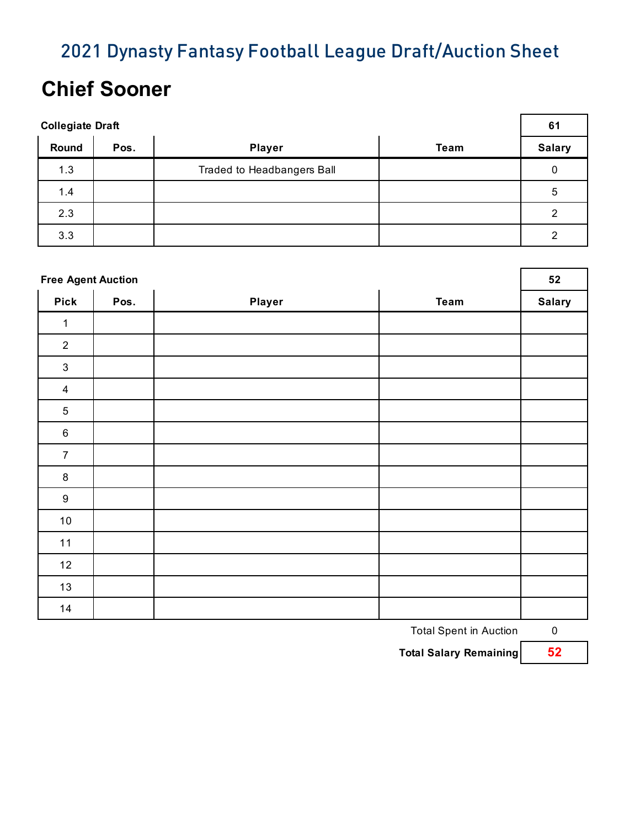## **Chief Sooner**

| <b>Collegiate Draft</b> |      |                            |             |               |
|-------------------------|------|----------------------------|-------------|---------------|
| Round                   | Pos. | <b>Player</b>              | <b>Team</b> | <b>Salary</b> |
| 1.3                     |      | Traded to Headbangers Ball |             | 0             |
| 1.4                     |      |                            |             | 5             |
| 2.3                     |      |                            |             | ◠             |
| 3.3                     |      |                            |             | 2             |

| <b>Free Agent Auction</b> |      |        |             |               |
|---------------------------|------|--------|-------------|---------------|
| <b>Pick</b>               | Pos. | Player | <b>Team</b> | <b>Salary</b> |
| 1                         |      |        |             |               |
| $\sqrt{2}$                |      |        |             |               |
| $\sqrt{3}$                |      |        |             |               |
| $\overline{\mathbf{4}}$   |      |        |             |               |
| $\mathbf 5$               |      |        |             |               |
| $\,6\,$                   |      |        |             |               |
| $\overline{7}$            |      |        |             |               |
| $\bf 8$                   |      |        |             |               |
| $\boldsymbol{9}$          |      |        |             |               |
| $10\,$                    |      |        |             |               |
| 11                        |      |        |             |               |
| 12                        |      |        |             |               |
| 13                        |      |        |             |               |
| 14                        |      |        |             |               |

Total Spent in Auction 0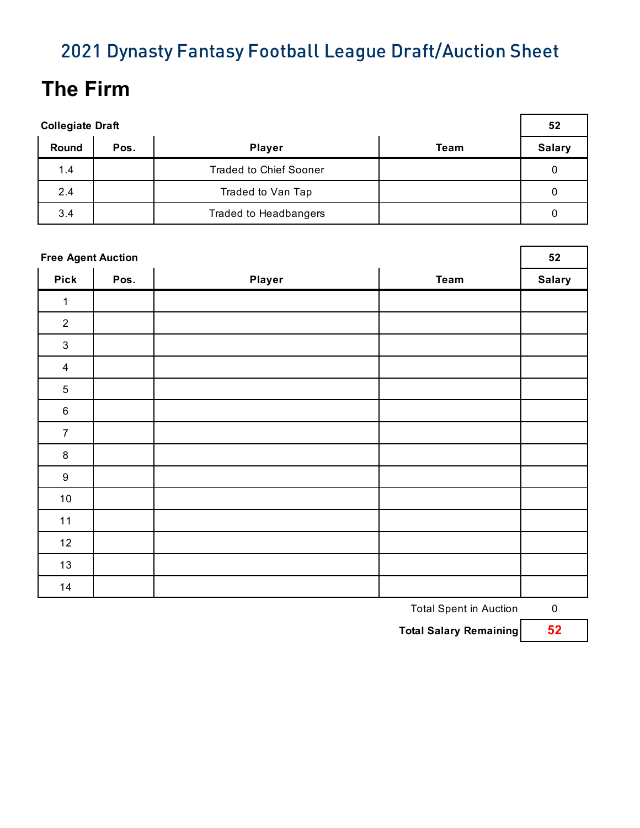# **The Firm**

| <b>Collegiate Draft</b> |      |                               |      |               |
|-------------------------|------|-------------------------------|------|---------------|
| Round                   | Pos. | <b>Player</b>                 | Team | <b>Salary</b> |
| 1.4                     |      | <b>Traded to Chief Sooner</b> |      | 0             |
| 2.4                     |      | Traded to Van Tap             |      | 0             |
| 3.4                     |      | Traded to Headbangers         |      | 0             |

|                  | <b>Free Agent Auction</b> |               |             |               |  |
|------------------|---------------------------|---------------|-------------|---------------|--|
| <b>Pick</b>      | Pos.                      | <b>Player</b> | <b>Team</b> | <b>Salary</b> |  |
| $\mathbf{1}$     |                           |               |             |               |  |
| $\sqrt{2}$       |                           |               |             |               |  |
| $\mathfrak{Z}$   |                           |               |             |               |  |
| $\overline{4}$   |                           |               |             |               |  |
| $\mathbf 5$      |                           |               |             |               |  |
| $\,6\,$          |                           |               |             |               |  |
| $\overline{7}$   |                           |               |             |               |  |
| $\bf 8$          |                           |               |             |               |  |
| $\boldsymbol{9}$ |                           |               |             |               |  |
| $10\,$           |                           |               |             |               |  |
| 11               |                           |               |             |               |  |
| 12               |                           |               |             |               |  |
| 13               |                           |               |             |               |  |
| 14               |                           |               |             |               |  |

Total Spent in Auction 0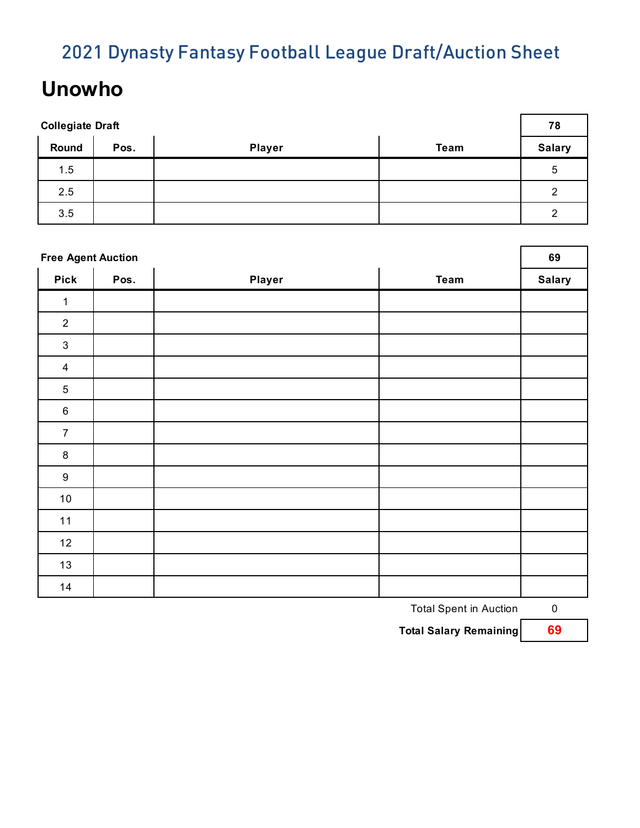## **Unowho**

| <b>Collegiate Draft</b> |      |               |             |               |
|-------------------------|------|---------------|-------------|---------------|
| Round                   | Pos. | <b>Player</b> | <b>Team</b> | <b>Salary</b> |
| 1.5                     |      |               |             | 5             |
| 2.5                     |      |               |             | 2             |
| 3.5                     |      |               |             | 2             |

| <b>Free Agent Auction</b> |      |        |             |               |
|---------------------------|------|--------|-------------|---------------|
| <b>Pick</b>               | Pos. | Player | <b>Team</b> | <b>Salary</b> |
| 1                         |      |        |             |               |
| $\overline{2}$            |      |        |             |               |
| $\ensuremath{\mathsf{3}}$ |      |        |             |               |
| $\overline{4}$            |      |        |             |               |
| $\sqrt{5}$                |      |        |             |               |
| $\,6\,$                   |      |        |             |               |
| $\overline{7}$            |      |        |             |               |
| $\bf 8$                   |      |        |             |               |
| $\boldsymbol{9}$          |      |        |             |               |
| 10                        |      |        |             |               |
| 11                        |      |        |             |               |
| 12                        |      |        |             |               |
| $13$                      |      |        |             |               |
| 14                        |      |        |             |               |

Total Spent in Auction 0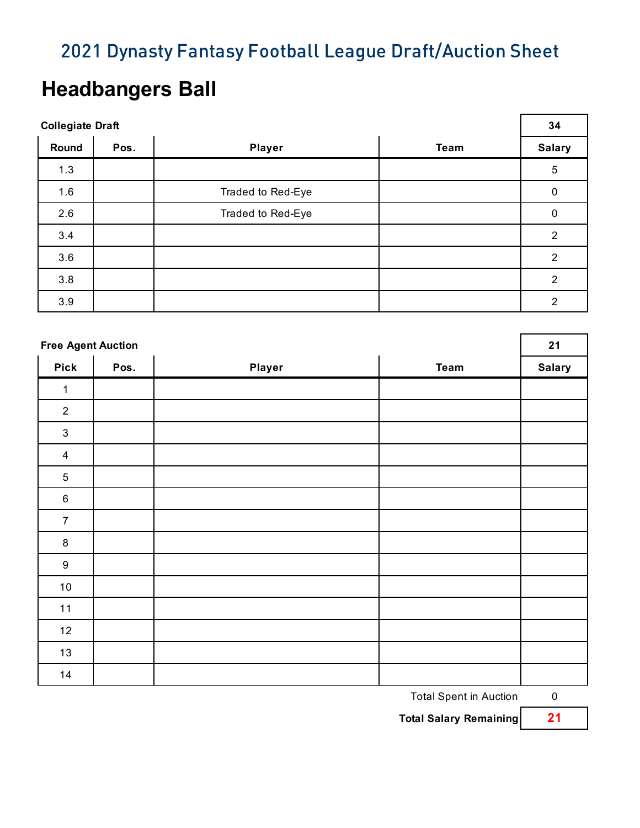### **Headbangers Ball**

| <b>Collegiate Draft</b> |      |                   |             | 34             |
|-------------------------|------|-------------------|-------------|----------------|
| Round                   | Pos. | <b>Player</b>     | <b>Team</b> | <b>Salary</b>  |
| 1.3                     |      |                   |             | $\sqrt{5}$     |
| 1.6                     |      | Traded to Red-Eye |             | $\mathbf 0$    |
| 2.6                     |      | Traded to Red-Eye |             | 0              |
| 3.4                     |      |                   |             | 2              |
| 3.6                     |      |                   |             | $\overline{2}$ |
| 3.8                     |      |                   |             | $\overline{2}$ |
| 3.9                     |      |                   |             | $\overline{2}$ |

| <b>Free Agent Auction</b> |      |        |             |               |
|---------------------------|------|--------|-------------|---------------|
| <b>Pick</b>               | Pos. | Player | <b>Team</b> | <b>Salary</b> |
| $\mathbf{1}$              |      |        |             |               |
| $\overline{2}$            |      |        |             |               |
| $\ensuremath{\mathsf{3}}$ |      |        |             |               |
| $\overline{4}$            |      |        |             |               |
| $\overline{5}$            |      |        |             |               |
| $\,6\,$                   |      |        |             |               |
| $\overline{7}$            |      |        |             |               |
| $\, 8$                    |      |        |             |               |
| $\boldsymbol{9}$          |      |        |             |               |
| $10\,$                    |      |        |             |               |
| $11$                      |      |        |             |               |
| 12                        |      |        |             |               |
| 13                        |      |        |             |               |
| 14                        |      |        |             |               |

Total Spent in Auction 0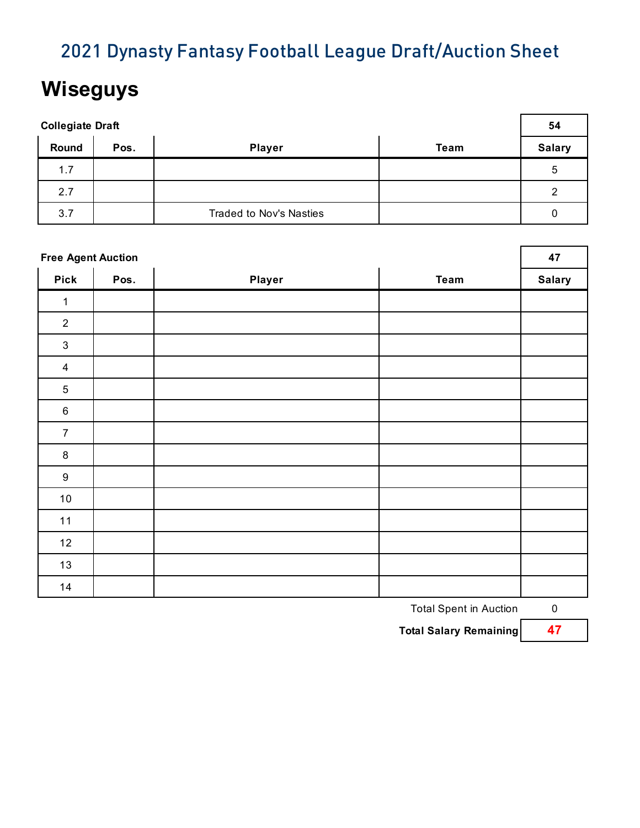## **Wiseguys**

| <b>Collegiate Draft</b> |      |                                |      |               |
|-------------------------|------|--------------------------------|------|---------------|
| Round                   | Pos. | <b>Player</b>                  | Team | <b>Salary</b> |
| 1.7                     |      |                                |      | 5             |
| 2.7                     |      |                                |      | 2             |
| 3.7                     |      | <b>Traded to Nov's Nasties</b> |      | 0             |

|                         | <b>Free Agent Auction</b> |        |             |               |  |
|-------------------------|---------------------------|--------|-------------|---------------|--|
| <b>Pick</b>             | Pos.                      | Player | <b>Team</b> | <b>Salary</b> |  |
| 1                       |                           |        |             |               |  |
| $\overline{2}$          |                           |        |             |               |  |
| $\sqrt{3}$              |                           |        |             |               |  |
| $\overline{\mathbf{4}}$ |                           |        |             |               |  |
| $\mathbf 5$             |                           |        |             |               |  |
| $\,6\,$                 |                           |        |             |               |  |
| $\overline{7}$          |                           |        |             |               |  |
| $\bf 8$                 |                           |        |             |               |  |
| $\boldsymbol{9}$        |                           |        |             |               |  |
| $10\,$                  |                           |        |             |               |  |
| 11                      |                           |        |             |               |  |
| 12                      |                           |        |             |               |  |
| $13$                    |                           |        |             |               |  |
| 14                      |                           |        |             |               |  |

Total Spent in Auction 0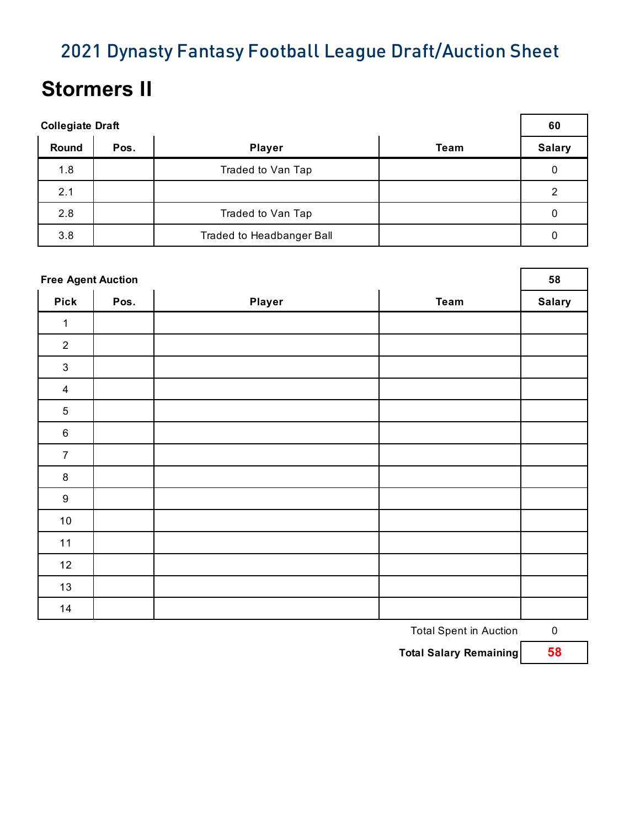### **Stormers II**

| <b>Collegiate Draft</b> |      |                           |      |               |
|-------------------------|------|---------------------------|------|---------------|
| Round                   | Pos. | <b>Player</b>             | Team | <b>Salary</b> |
| 1.8                     |      | Traded to Van Tap         |      | 0             |
| 2.1                     |      |                           |      | 2             |
| 2.8                     |      | Traded to Van Tap         |      | 0             |
| 3.8                     |      | Traded to Headbanger Ball |      |               |

| <b>Free Agent Auction</b> |      |        |             |               |
|---------------------------|------|--------|-------------|---------------|
| <b>Pick</b>               | Pos. | Player | <b>Team</b> | <b>Salary</b> |
| $\mathbf{1}$              |      |        |             |               |
| $\overline{2}$            |      |        |             |               |
| $\mathsf 3$               |      |        |             |               |
| $\overline{4}$            |      |        |             |               |
| $\mathbf 5$               |      |        |             |               |
| $\,6\,$                   |      |        |             |               |
| $\overline{7}$            |      |        |             |               |
| $\bf 8$                   |      |        |             |               |
| $\boldsymbol{9}$          |      |        |             |               |
| $10\,$                    |      |        |             |               |
| $11$                      |      |        |             |               |
| 12                        |      |        |             |               |
| 13                        |      |        |             |               |
| 14                        |      |        |             |               |

Total Spent in Auction 0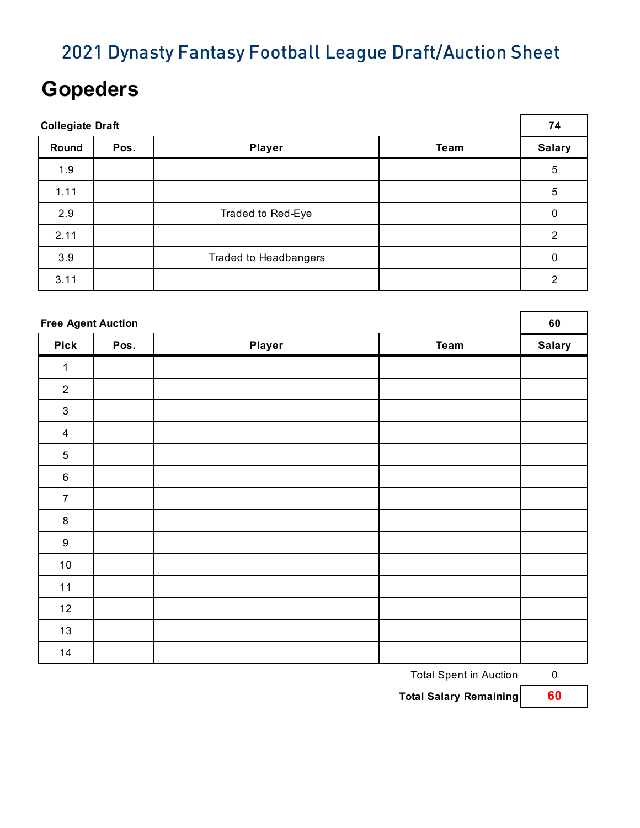### **Gopeders**

| <b>Collegiate Draft</b> |      |                              |             |                |
|-------------------------|------|------------------------------|-------------|----------------|
| Round                   | Pos. | <b>Player</b>                | <b>Team</b> | <b>Salary</b>  |
| 1.9                     |      |                              |             | 5              |
| 1.11                    |      |                              |             | 5              |
| 2.9                     |      | Traded to Red-Eye            |             | 0              |
| 2.11                    |      |                              |             | $\overline{2}$ |
| 3.9                     |      | <b>Traded to Headbangers</b> |             | 0              |
| 3.11                    |      |                              |             | 2              |

| <b>Free Agent Auction</b> |      |        |             |               |
|---------------------------|------|--------|-------------|---------------|
| <b>Pick</b>               | Pos. | Player | <b>Team</b> | <b>Salary</b> |
| $\mathbf{1}$              |      |        |             |               |
| $\overline{2}$            |      |        |             |               |
| $\sqrt{3}$                |      |        |             |               |
| $\overline{4}$            |      |        |             |               |
| $\sqrt{5}$                |      |        |             |               |
| $\,6\,$                   |      |        |             |               |
| $\overline{7}$            |      |        |             |               |
| $\bf 8$                   |      |        |             |               |
| $\boldsymbol{9}$          |      |        |             |               |
| $10\,$                    |      |        |             |               |
| 11                        |      |        |             |               |
| 12                        |      |        |             |               |
| 13                        |      |        |             |               |
| 14                        |      |        |             |               |

Total Spent in Auction 0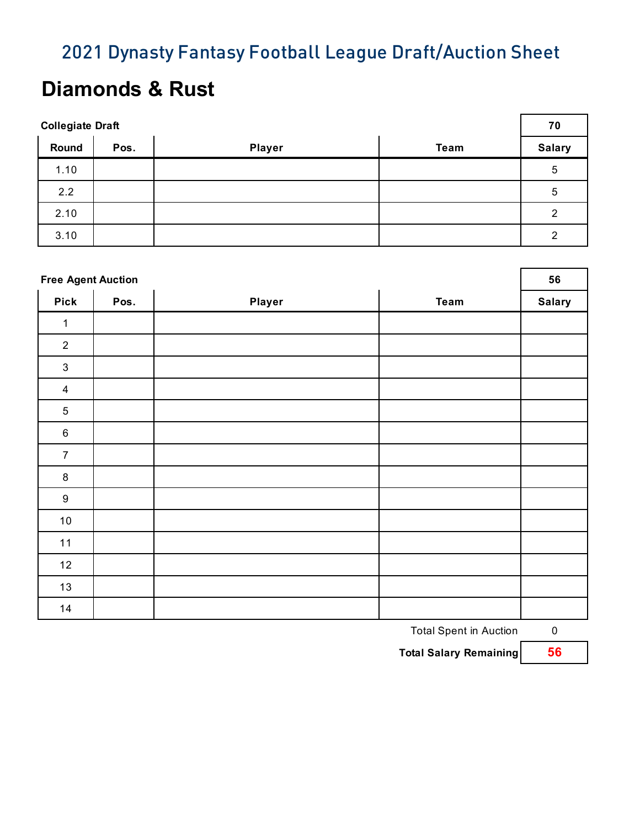### **Diamonds & Rust**

| <b>Collegiate Draft</b> |      |               |      | 70            |
|-------------------------|------|---------------|------|---------------|
| Round                   | Pos. | <b>Player</b> | Team | <b>Salary</b> |
| 1.10                    |      |               |      | 5             |
| 2.2                     |      |               |      | 5             |
| 2.10                    |      |               |      | 2             |
| 3.10                    |      |               |      | 2             |

| <b>Free Agent Auction</b> |      |        |             |               |
|---------------------------|------|--------|-------------|---------------|
| <b>Pick</b>               | Pos. | Player | <b>Team</b> | <b>Salary</b> |
| $\mathbf{1}$              |      |        |             |               |
| $\overline{2}$            |      |        |             |               |
| $\ensuremath{\mathsf{3}}$ |      |        |             |               |
| $\overline{4}$            |      |        |             |               |
| $\mathbf 5$               |      |        |             |               |
| $\,6\,$                   |      |        |             |               |
| $\overline{7}$            |      |        |             |               |
| $\bf 8$                   |      |        |             |               |
| $\boldsymbol{9}$          |      |        |             |               |
| $10\,$                    |      |        |             |               |
| 11                        |      |        |             |               |
| 12                        |      |        |             |               |
| $13$                      |      |        |             |               |
| 14                        |      |        |             |               |

Total Spent in Auction 0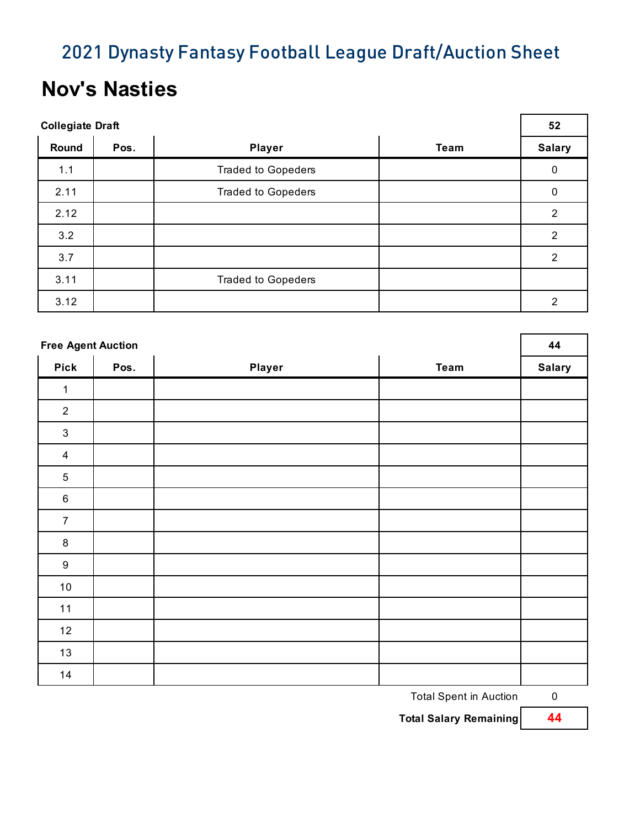### **Nov's Nasties**

| <b>Collegiate Draft</b> |      |                           |             |                  |
|-------------------------|------|---------------------------|-------------|------------------|
| Round                   | Pos. | <b>Player</b>             | <b>Team</b> | <b>Salary</b>    |
| 1.1                     |      | <b>Traded to Gopeders</b> |             | $\boldsymbol{0}$ |
| 2.11                    |      | <b>Traded to Gopeders</b> |             | 0                |
| 2.12                    |      |                           |             | $\overline{2}$   |
| 3.2                     |      |                           |             | $\overline{2}$   |
| 3.7                     |      |                           |             | 2                |
| 3.11                    |      | <b>Traded to Gopeders</b> |             |                  |
| 3.12                    |      |                           |             | 2                |

| <b>Free Agent Auction</b> |      |        |             |               |
|---------------------------|------|--------|-------------|---------------|
| <b>Pick</b>               | Pos. | Player | <b>Team</b> | <b>Salary</b> |
| $\mathbf{1}$              |      |        |             |               |
| $\overline{2}$            |      |        |             |               |
| $\mathfrak{B}$            |      |        |             |               |
| $\overline{4}$            |      |        |             |               |
| $\sqrt{5}$                |      |        |             |               |
| $\,6\,$                   |      |        |             |               |
| $\overline{7}$            |      |        |             |               |
| $\bf 8$                   |      |        |             |               |
| $\boldsymbol{9}$          |      |        |             |               |
| $10\,$                    |      |        |             |               |
| $11$                      |      |        |             |               |
| 12                        |      |        |             |               |
| 13                        |      |        |             |               |
| 14                        |      |        |             |               |

Total Spent in Auction 0